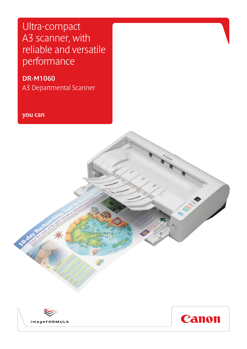Ultra-compact A3 scanner, with reliable and versatile performance

DR-M1060 A3 Departmental Scanner

you can

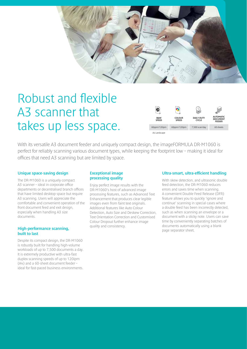

# Robust and flexible A3 scanner that takes up less space.



With its versatile A3 document feeder and uniquely compact design, the imageFORMULA DR-M1060 is perfect for reliably scanning various document types, while keeping the footprint low – making it ideal for offices that need A3 scanning but are limited by space.

#### Unique space-saving design

The DR-M1060 is a uniquely compact A3 scanner – ideal in corporate office departments or decentralised branch offices that have limited desktop space but require A3 scanning. Users will appreciate the comfortable and convenient operation of the front document feed and exit design, especially when handling A3 size documents.

#### High-performance scanning, built to last

Despite its compact design, the DR-M1060 is robustly built for handling high-volume workloads of up to 7,500 documents a day. It is extremely productive with ultra-fast duplex scanning speeds of up to 120ipm (A4) and a 60-sheet document feeder – ideal for fast-paced business environments.

## Exceptional image processing quality

Enjoy perfect image results with the DR-M1060's host of advanced image processing features, such as Advanced Text Enhancement that produces clear legible images even from faint text originals. Additional features like Auto Colour Detection, Auto Size and Deskew Correction, Text Orientation Correction and Customised Colour Dropout further enhance image quality and consistency.

#### Ultra-smart, ultra-efficient handling

With skew detection, and ultrasonic double feed detection, the DR-M1060 reduces errors and saves time when scanning. A convenient Double Feed Release (DFR) feature allows you to quickly 'ignore and continue' scanning in special cases where a double feed has been incorrectly detected, such as when scanning an envelope or a document with a sticky note. Users can save time by conveniently separating batches of documents automatically using a blank page separator sheet.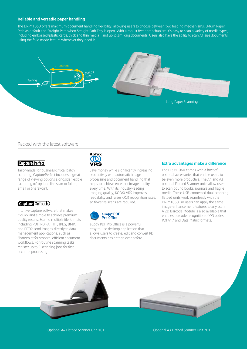#### Reliable and versatile paper handling

The DR-M1060 offers maximum document handling flexibility, allowing users to choose between two feeding mechanisms, U-turn Paper Path as default and Straight Path when Straight Path Tray is open. With a robust feeder mechanism it's easy to scan a variety of media types, including embossed/plastic cards, thick and thin media – and up to 3m long documents. Users also have the ability to scan A1 size documents using the folio mode feature whenever they need it.



## Packed with the latest software

### **Capture Perfect**

Tailor-made for business-critical batch scanning, CapturePerfect includes a great range of viewing options alongside flexible 'scanning to' options like scan to folder, email or SharePoint.

#### **Capture OnTouch**

Intuitive capture software that makes it quick and simple to achieve premium quality results. Scan to multiple file formats including PDF, PDF-A, TIFF, JPEG, BMP, and PPTX; send images directly to data management applications, such as SharePoint for smooth, efficient document workflows. For routine scanning tasks register up to 9 scanning jobs for fast, accurate processing.



Save money while significantly increasing productivity with automatic image processing and document handling that helps to achieve excellent image quality every time. With its industry-leading imaging quality, KOFAX VRS improves readability and raises OCR recognition rates, so fewer re-scans are required.



eCopy PDF Pro Office is a powerful, easy-to-use desktop application that allows users to create, edit and convert PDF documents easier than ever before.

#### Extra advantages make a difference

The DR-M1060 comes with a host of optional accessories that enable users to be even more productive. The A4 and A3 optional Flatbed Scanner units allow users to scan bound books, journals and fragile media. These USB-connected dual-scanning flatbed units work seamlessly with the DR-M1060, so users can apply the same image-enhancement features to any scan. A 2D Barcode Module is also available that enables barcode recognition of QR codes, PDF417 and Data Matrix formats.

Optional A4 Flatbed Scanner Unit 101 Optional A3 Flatbed Scanner Unit 201